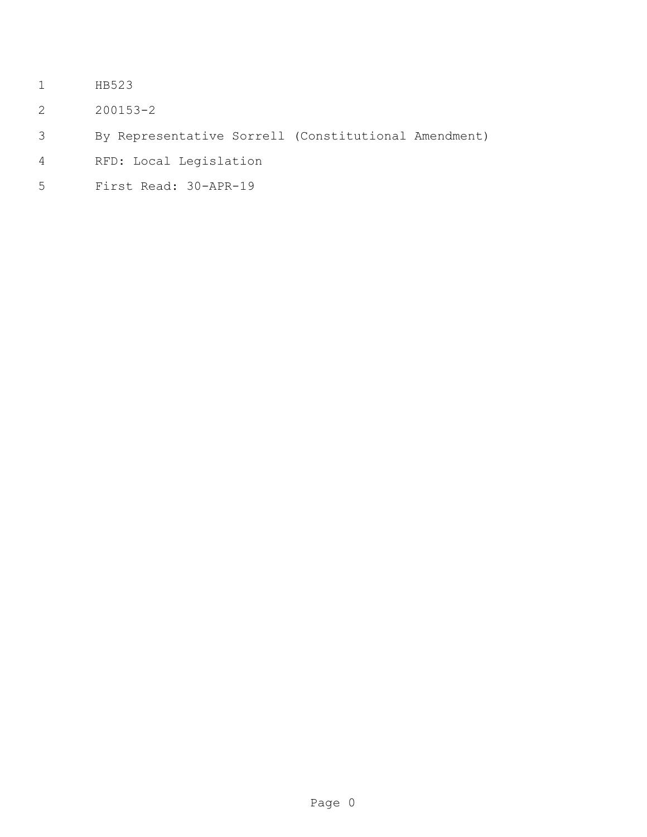- HB523
- 200153-2
- By Representative Sorrell (Constitutional Amendment)
- RFD: Local Legislation
- First Read: 30-APR-19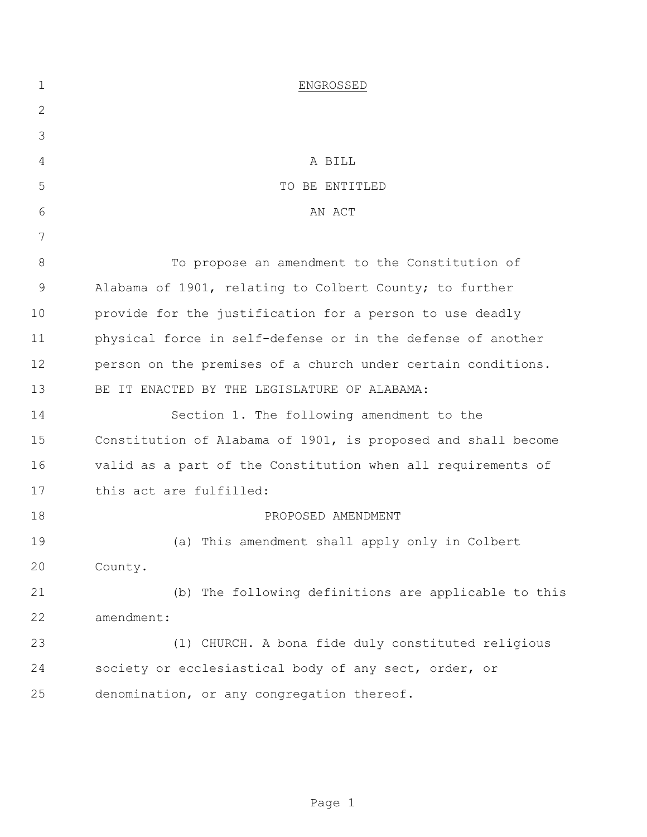| $\mathbf 1$   | ENGROSSED                                                     |
|---------------|---------------------------------------------------------------|
| $\mathbf{2}$  |                                                               |
| 3             |                                                               |
| 4             | A BILL                                                        |
| 5             | TO BE ENTITLED                                                |
| 6             | AN ACT                                                        |
| 7             |                                                               |
| 8             | To propose an amendment to the Constitution of                |
| $\mathcal{G}$ | Alabama of 1901, relating to Colbert County; to further       |
| 10            | provide for the justification for a person to use deadly      |
| 11            | physical force in self-defense or in the defense of another   |
| 12            | person on the premises of a church under certain conditions.  |
| 13            | BE IT ENACTED BY THE LEGISLATURE OF ALABAMA:                  |
| 14            | Section 1. The following amendment to the                     |
| 15            | Constitution of Alabama of 1901, is proposed and shall become |
| 16            | valid as a part of the Constitution when all requirements of  |
| 17            | this act are fulfilled:                                       |
| 18            | PROPOSED AMENDMENT                                            |
| 19            | (a) This amendment shall apply only in Colbert                |
| 20            | County.                                                       |
| 21            | (b) The following definitions are applicable to this          |
| 22            | amendment:                                                    |
| 23            | (1) CHURCH. A bona fide duly constituted religious            |
| 24            | society or ecclesiastical body of any sect, order, or         |
| 25            | denomination, or any congregation thereof.                    |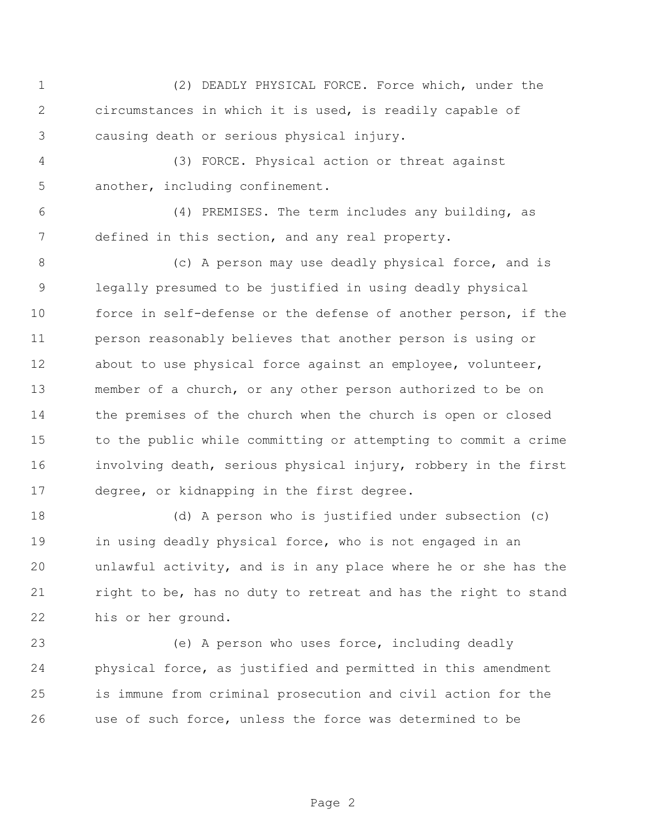(2) DEADLY PHYSICAL FORCE. Force which, under the circumstances in which it is used, is readily capable of causing death or serious physical injury.

 (3) FORCE. Physical action or threat against another, including confinement.

 (4) PREMISES. The term includes any building, as defined in this section, and any real property.

 (c) A person may use deadly physical force, and is legally presumed to be justified in using deadly physical force in self-defense or the defense of another person, if the person reasonably believes that another person is using or 12 about to use physical force against an employee, volunteer, member of a church, or any other person authorized to be on the premises of the church when the church is open or closed to the public while committing or attempting to commit a crime involving death, serious physical injury, robbery in the first degree, or kidnapping in the first degree.

 (d) A person who is justified under subsection (c) 19 in using deadly physical force, who is not engaged in an unlawful activity, and is in any place where he or she has the 21 right to be, has no duty to retreat and has the right to stand his or her ground.

 (e) A person who uses force, including deadly physical force, as justified and permitted in this amendment is immune from criminal prosecution and civil action for the use of such force, unless the force was determined to be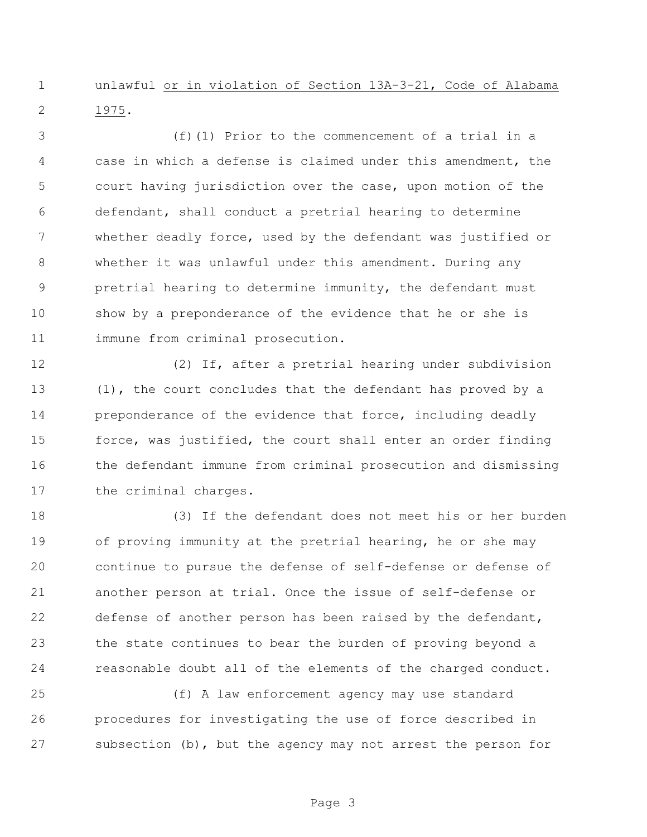unlawful or in violation of Section 13A-3-21, Code of Alabama 1975.

 (f)(1) Prior to the commencement of a trial in a case in which a defense is claimed under this amendment, the court having jurisdiction over the case, upon motion of the defendant, shall conduct a pretrial hearing to determine whether deadly force, used by the defendant was justified or whether it was unlawful under this amendment. During any pretrial hearing to determine immunity, the defendant must show by a preponderance of the evidence that he or she is immune from criminal prosecution.

 (2) If, after a pretrial hearing under subdivision (1), the court concludes that the defendant has proved by a **preponderance of the evidence that force, including deadly**  force, was justified, the court shall enter an order finding the defendant immune from criminal prosecution and dismissing the criminal charges.

 (3) If the defendant does not meet his or her burden of proving immunity at the pretrial hearing, he or she may continue to pursue the defense of self-defense or defense of another person at trial. Once the issue of self-defense or defense of another person has been raised by the defendant, the state continues to bear the burden of proving beyond a reasonable doubt all of the elements of the charged conduct.

 (f) A law enforcement agency may use standard procedures for investigating the use of force described in subsection (b), but the agency may not arrest the person for

Page 3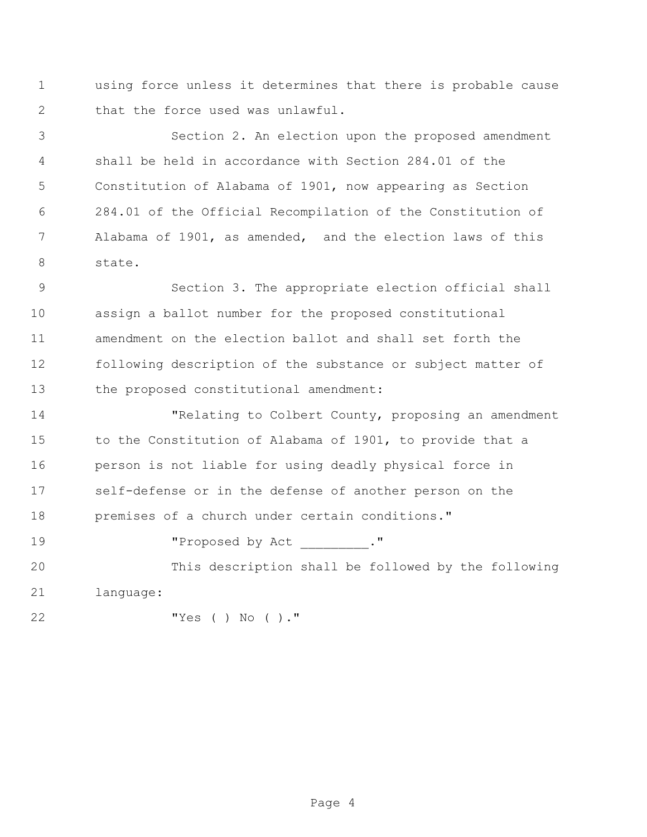using force unless it determines that there is probable cause that the force used was unlawful.

 Section 2. An election upon the proposed amendment shall be held in accordance with Section 284.01 of the Constitution of Alabama of 1901, now appearing as Section 284.01 of the Official Recompilation of the Constitution of Alabama of 1901, as amended, and the election laws of this state.

 Section 3. The appropriate election official shall assign a ballot number for the proposed constitutional amendment on the election ballot and shall set forth the following description of the substance or subject matter of the proposed constitutional amendment:

 "Relating to Colbert County, proposing an amendment to the Constitution of Alabama of 1901, to provide that a person is not liable for using deadly physical force in self-defense or in the defense of another person on the premises of a church under certain conditions."

19 The Proposed by Act ."

 This description shall be followed by the following language:

"Yes ( ) No ( )."